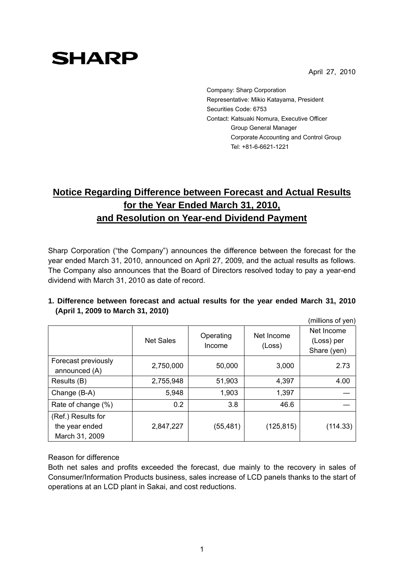April 27, 2010

# **SHARP**

Company: Sharp Corporation Representative: Mikio Katayama, President Securities Code: 6753 Contact: Katsuaki Nomura, Executive Officer Group General Manager Corporate Accounting and Control Group Tel: +81-6-6621-1221

# **Notice Regarding Difference between Forecast and Actual Results for the Year Ended March 31, 2010, and Resolution on Year-end Dividend Payment**

Sharp Corporation ("the Company") announces the difference between the forecast for the year ended March 31, 2010, announced on April 27, 2009, and the actual results as follows. The Company also announces that the Board of Directors resolved today to pay a year-end dividend with March 31, 2010 as date of record.

|                                                        |                  |                     |                      | (millions of yen)                       |
|--------------------------------------------------------|------------------|---------------------|----------------------|-----------------------------------------|
|                                                        | <b>Net Sales</b> | Operating<br>Income | Net Income<br>(Loss) | Net Income<br>(Loss) per<br>Share (yen) |
| Forecast previously<br>announced (A)                   | 2,750,000        | 50,000              | 3,000                | 2.73                                    |
| Results (B)                                            | 2,755,948        | 51,903              | 4,397                | 4.00                                    |
| Change (B-A)                                           | 5,948            | 1,903               | 1,397                |                                         |
| Rate of change (%)                                     | 0.2              | 3.8                 | 46.6                 |                                         |
| (Ref.) Results for<br>the year ended<br>March 31, 2009 | 2,847,227        | (55, 481)           | (125, 815)           | (114.33)                                |

## **1. Difference between forecast and actual results for the year ended March 31, 2010 (April 1, 2009 to March 31, 2010)**

#### Reason for difference

Both net sales and profits exceeded the forecast, due mainly to the recovery in sales of Consumer/Information Products business, sales increase of LCD panels thanks to the start of operations at an LCD plant in Sakai, and cost reductions.